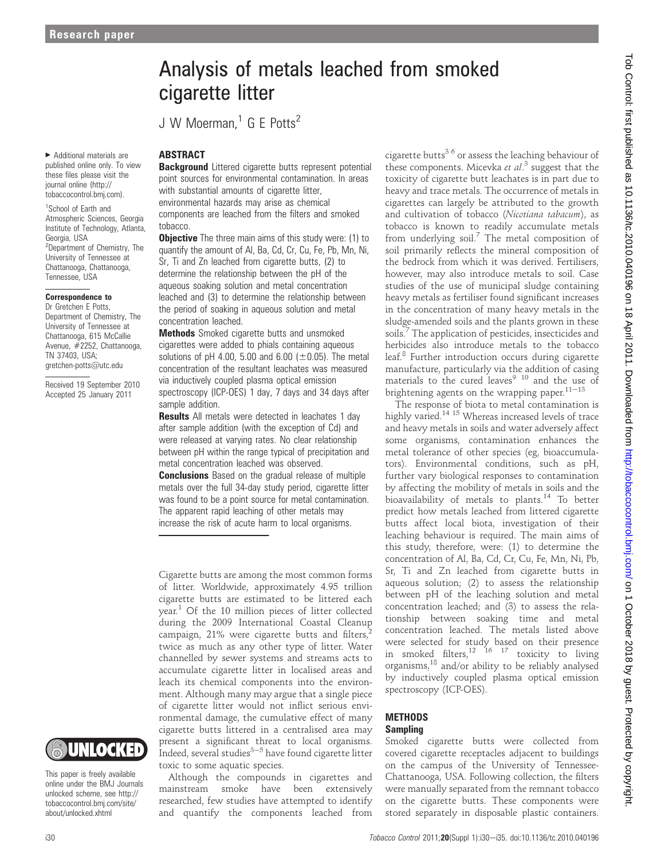$\blacktriangleright$  Additional materials are published online only. To view these files please visit the journal online (http:// tobaccocontrol.bmj.com).

1 School of Earth and Atmospheric Sciences, Georgia Institute of Technology, Atlanta, Georgia, USA <sup>2</sup>Department of Chemistry, The University of Tennessee at Chattanooga, Chattanooga, Tennessee, USA

#### Correspondence to

Dr Gretchen E Potts, Department of Chemistry, The University of Tennessee at Chattanooga, 615 McCallie Avenue, #2252, Chattanooga, TN 37403, USA; gretchen-potts@utc.edu

Received 19 September 2010 Accepted 25 January 2011

# UNLOCKED

This paper is freely available online under the BMJ Journals unlocked scheme, see http:// tobaccocontrol.bmj.com/site/ about/unlocked.xhtml

# Analysis of metals leached from smoked cigarette litter

J W Moerman<sup>1</sup> G F Potts<sup>2</sup>

#### ABSTRACT

**Background** Littered cigarette butts represent potential point sources for environmental contamination. In areas with substantial amounts of cigarette litter, environmental hazards may arise as chemical components are leached from the filters and smoked tobacco.

**Objective** The three main aims of this study were: (1) to quantify the amount of Al, Ba, Cd, Cr, Cu, Fe, Pb, Mn, Ni, Sr, Ti and Zn leached from cigarette butts, (2) to determine the relationship between the pH of the aqueous soaking solution and metal concentration leached and (3) to determine the relationship between the period of soaking in aqueous solution and metal concentration leached.

**Methods** Smoked cigarette butts and unsmoked cigarettes were added to phials containing aqueous solutions of pH 4.00, 5.00 and 6.00 ( $\pm$ 0.05). The metal concentration of the resultant leachates was measured via inductively coupled plasma optical emission spectroscopy (ICP-OES) 1 day, 7 days and 34 days after sample addition.

**Results** All metals were detected in leachates 1 day after sample addition (with the exception of Cd) and were released at varying rates. No clear relationship between pH within the range typical of precipitation and metal concentration leached was observed.

**Conclusions** Based on the gradual release of multiple metals over the full 34-day study period, cigarette litter was found to be a point source for metal contamination. The apparent rapid leaching of other metals may increase the risk of acute harm to local organisms.

Cigarette butts are among the most common forms of litter. Worldwide, approximately 4.95 trillion cigarette butts are estimated to be littered each year.1 Of the 10 million pieces of litter collected during the 2009 International Coastal Cleanup campaign, 21% were cigarette butts and filters, twice as much as any other type of litter. Water channelled by sewer systems and streams acts to accumulate cigarette litter in localised areas and leach its chemical components into the environment. Although many may argue that a single piece of cigarette litter would not inflict serious environmental damage, the cumulative effect of many cigarette butts littered in a centralised area may present a significant threat to local organisms. Indeed, several studies $3-5$  have found cigarette litter toxic to some aquatic species.

Although the compounds in cigarettes and mainstream smoke have been extensively researched, few studies have attempted to identify and quantify the components leached from cigarette butts<sup>36</sup> or assess the leaching behaviour of these components. Micevka et al.<sup>3</sup> suggest that the toxicity of cigarette butt leachates is in part due to heavy and trace metals. The occurrence of metals in cigarettes can largely be attributed to the growth and cultivation of tobacco (Nicotiana tabacum), as tobacco is known to readily accumulate metals from underlying  $\text{soil.}^7$  The metal composition of soil primarily reflects the mineral composition of the bedrock from which it was derived. Fertilisers, however, may also introduce metals to soil. Case studies of the use of municipal sludge containing heavy metals as fertiliser found significant increases in the concentration of many heavy metals in the sludge-amended soils and the plants grown in these soils.<sup>7</sup> The application of pesticides, insecticides and herbicides also introduce metals to the tobacco leaf.<sup>8</sup> Further introduction occurs during cigarette manufacture, particularly via the addition of casing materials to the cured leaves<sup>9 10</sup> and the use of brightening agents on the wrapping paper. $11-13$ 

The response of biota to metal contamination is highly varied.<sup>14 15</sup> Whereas increased levels of trace and heavy metals in soils and water adversely affect some organisms, contamination enhances the metal tolerance of other species (eg, bioaccumulators). Environmental conditions, such as pH, further vary biological responses to contamination by affecting the mobility of metals in soils and the bioavailability of metals to plants.<sup>14</sup> To better predict how metals leached from littered cigarette butts affect local biota, investigation of their leaching behaviour is required. The main aims of this study, therefore, were: (1) to determine the concentration of Al, Ba, Cd, Cr, Cu, Fe, Mn, Ni, Pb, Sr, Ti and Zn leached from cigarette butts in aqueous solution; (2) to assess the relationship between pH of the leaching solution and metal concentration leached; and (3) to assess the relationship between soaking time and metal concentration leached. The metals listed above were selected for study based on their presence in smoked filters, $^{12}$  16  $^{17}$  toxicity to living organisms,<sup>18</sup> and/or ability to be reliably analysed by inductively coupled plasma optical emission spectroscopy (ICP-OES).

#### METHODS Sampling

Smoked cigarette butts were collected from covered cigarette receptacles adjacent to buildings on the campus of the University of Tennessee-Chattanooga, USA. Following collection, the filters were manually separated from the remnant tobacco on the cigarette butts. These components were stored separately in disposable plastic containers.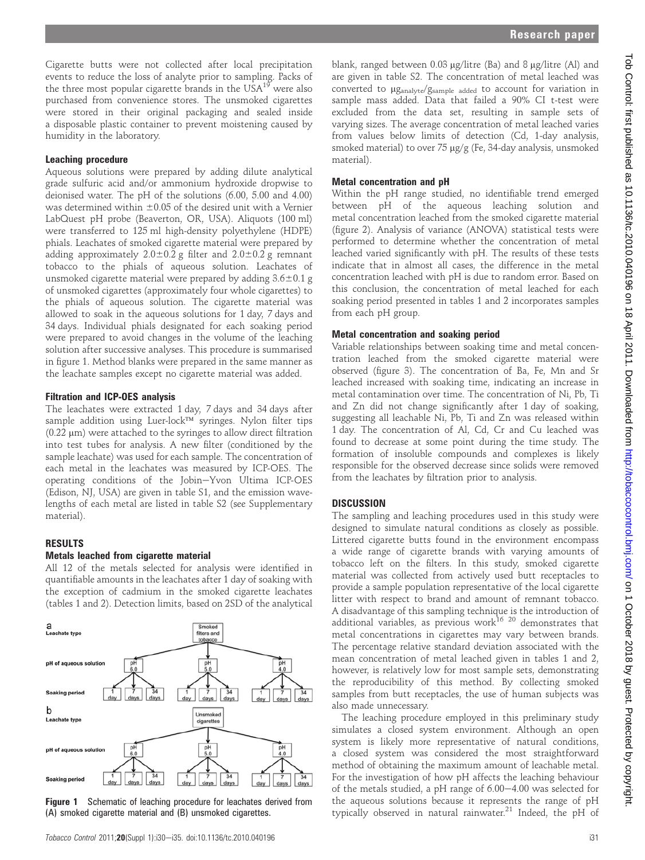Cigarette butts were not collected after local precipitation events to reduce the loss of analyte prior to sampling. Packs of the three most popular cigarette brands in the  $USA^{19}$  were also purchased from convenience stores. The unsmoked cigarettes were stored in their original packaging and sealed inside a disposable plastic container to prevent moistening caused by humidity in the laboratory.

#### Leaching procedure

Aqueous solutions were prepared by adding dilute analytical grade sulfuric acid and/or ammonium hydroxide dropwise to deionised water. The pH of the solutions (6.00, 5.00 and 4.00) was determined within  $\pm 0.05$  of the desired unit with a Vernier LabQuest pH probe (Beaverton, OR, USA). Aliquots (100 ml) were transferred to 125 ml high-density polyethylene (HDPE) phials. Leachates of smoked cigarette material were prepared by adding approximately  $2.0\pm0.2$  g filter and  $2.0\pm0.2$  g remnant tobacco to the phials of aqueous solution. Leachates of unsmoked cigarette material were prepared by adding  $3.6 \pm 0.1$  g of unsmoked cigarettes (approximately four whole cigarettes) to the phials of aqueous solution. The cigarette material was allowed to soak in the aqueous solutions for 1 day, 7 days and 34 days. Individual phials designated for each soaking period were prepared to avoid changes in the volume of the leaching solution after successive analyses. This procedure is summarised in figure 1. Method blanks were prepared in the same manner as the leachate samples except no cigarette material was added.

#### Filtration and ICP-OES analysis

The leachates were extracted 1 day, 7 days and 34 days after sample addition using Luer-lock<sup>TM</sup> syringes. Nylon filter tips  $(0.22 \mu m)$  were attached to the syringes to allow direct filtration into test tubes for analysis. A new filter (conditioned by the sample leachate) was used for each sample. The concentration of each metal in the leachates was measured by ICP-OES. The operating conditions of the Jobin-Yvon Ultima ICP-OES (Edison, NJ, USA) are given in table S1, and the emission wavelengths of each metal are listed in table S2 (see Supplementary material).

# RESULTS

#### Metals leached from cigarette material

All 12 of the metals selected for analysis were identified in quantifiable amounts in the leachates after 1 day of soaking with the exception of cadmium in the smoked cigarette leachates (tables 1 and 2). Detection limits, based on 2SD of the analytical



**Figure 1** Schematic of leaching procedure for leachates derived from (A) smoked cigarette material and (B) unsmoked cigarettes.

blank, ranged between  $0.03 \mu$ g/litre (Ba) and 8  $\mu$ g/litre (Al) and are given in table S2. The concentration of metal leached was converted to  $\mu$ g<sub>analyte</sub>/g<sub>sample added</sub> to account for variation in sample mass added. Data that failed a 90% CI t-test were excluded from the data set, resulting in sample sets of varying sizes. The average concentration of metal leached varies from values below limits of detection (Cd, 1-day analysis, smoked material) to over 75 µg/g (Fe, 34-day analysis, unsmoked material).

### Metal concentration and pH

Within the pH range studied, no identifiable trend emerged between pH of the aqueous leaching solution and metal concentration leached from the smoked cigarette material (figure 2). Analysis of variance (ANOVA) statistical tests were performed to determine whether the concentration of metal leached varied significantly with pH. The results of these tests indicate that in almost all cases, the difference in the metal concentration leached with pH is due to random error. Based on this conclusion, the concentration of metal leached for each soaking period presented in tables 1 and 2 incorporates samples from each pH group.

#### Metal concentration and soaking period

Variable relationships between soaking time and metal concentration leached from the smoked cigarette material were observed (figure 3). The concentration of Ba, Fe, Mn and Sr leached increased with soaking time, indicating an increase in metal contamination over time. The concentration of Ni, Pb, Ti and Zn did not change significantly after 1 day of soaking, suggesting all leachable Ni, Pb, Ti and Zn was released within 1 day. The concentration of Al, Cd, Cr and Cu leached was found to decrease at some point during the time study. The formation of insoluble compounds and complexes is likely responsible for the observed decrease since solids were removed from the leachates by filtration prior to analysis.

#### **DISCUSSION**

The sampling and leaching procedures used in this study were designed to simulate natural conditions as closely as possible. Littered cigarette butts found in the environment encompass a wide range of cigarette brands with varying amounts of tobacco left on the filters. In this study, smoked cigarette material was collected from actively used butt receptacles to provide a sample population representative of the local cigarette litter with respect to brand and amount of remnant tobacco. A disadvantage of this sampling technique is the introduction of additional variables, as previous work $^{16}$  <sup>20</sup> demonstrates that metal concentrations in cigarettes may vary between brands. The percentage relative standard deviation associated with the mean concentration of metal leached given in tables 1 and 2, however, is relatively low for most sample sets, demonstrating the reproducibility of this method. By collecting smoked samples from butt receptacles, the use of human subjects was also made unnecessary.

The leaching procedure employed in this preliminary study simulates a closed system environment. Although an open system is likely more representative of natural conditions, a closed system was considered the most straightforward method of obtaining the maximum amount of leachable metal. For the investigation of how pH affects the leaching behaviour of the metals studied, a pH range of  $6.00-4.00$  was selected for the aqueous solutions because it represents the range of pH typically observed in natural rainwater.<sup>21</sup> Indeed, the pH of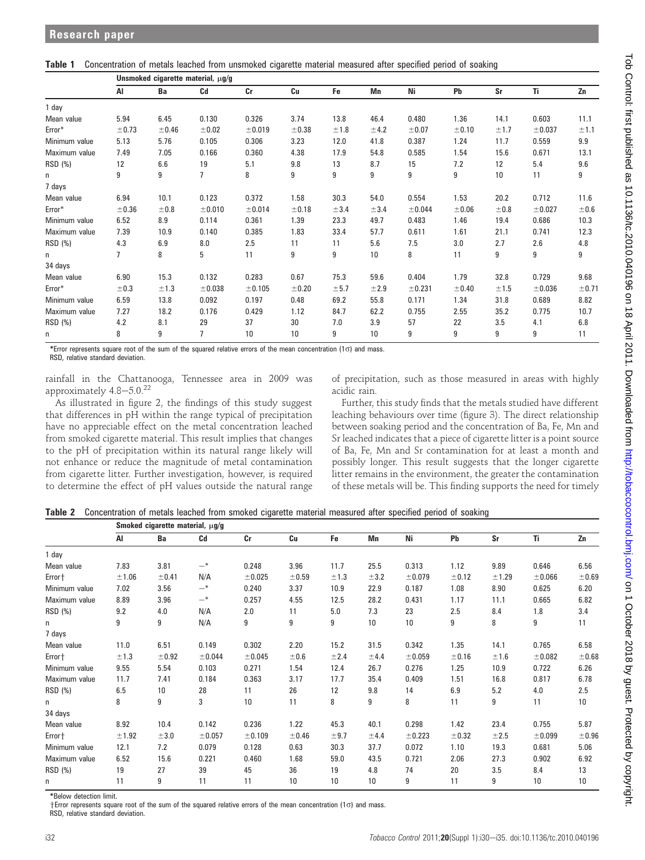Table 1 Concentration of metals leached from unsmoked cigarette material measured after specified period of soaking

|               | Unsmoked cigarette material, µg/g |       |        |         |       |      |      |         |       |      |         |       |
|---------------|-----------------------------------|-------|--------|---------|-------|------|------|---------|-------|------|---------|-------|
|               | AI                                | Ba    | Cd     | Cr      | Cu    | Fe   | Mn   | Ni      | Pb    | Sr   | Ti      | Zn    |
| 1 day         |                                   |       |        |         |       |      |      |         |       |      |         |       |
| Mean value    | 5.94                              | 6.45  | 0.130  | 0.326   | 3.74  | 13.8 | 46.4 | 0.480   | 1.36  | 14.1 | 0.603   | 11.1  |
| Error*        | ±0.73                             | ±0.46 | ±0.02  | ±0.019  | ±0.38 | ±1.8 | ±4.2 | ±0.07   | ±0.10 | ±1.7 | ±0.037  | ±1.1  |
| Minimum value | 5.13                              | 5.76  | 0.105  | 0.306   | 3.23  | 12.0 | 41.8 | 0.387   | 1.24  | 11.7 | 0.559   | 9.9   |
| Maximum value | 7.49                              | 7.05  | 0.166  | 0.360   | 4.38  | 17.9 | 54.8 | 0.585   | 1.54  | 15.6 | 0.671   | 13.1  |
| RSD (%)       | 12                                | 6.6   | 19     | 5.1     | 9.8   | 13   | 8.7  | 15      | 7.2   | 12   | 5.4     | 9.6   |
| n.            | 9                                 | 9     | 7      | 8       | 9     | 9    | 9    | 9       | 9     | 10   | 11      | 9     |
| 7 days        |                                   |       |        |         |       |      |      |         |       |      |         |       |
| Mean value    | 6.94                              | 10.1  | 0.123  | 0.372   | 1.58  | 30.3 | 54.0 | 0.554   | 1.53  | 20.2 | 0.712   | 11.6  |
| Error*        | ±0.36                             | ±0.8  | ±0.010 | ± 0.014 | ±0.18 | ±3.4 | ±3.4 | ± 0.044 | ±0.06 | ±0.8 | ± 0.027 | ±0.6  |
| Minimum value | 6.52                              | 8.9   | 0.114  | 0.361   | 1.39  | 23.3 | 49.7 | 0.483   | 1.46  | 19.4 | 0.686   | 10.3  |
| Maximum value | 7.39                              | 10.9  | 0.140  | 0.385   | 1.83  | 33.4 | 57.7 | 0.611   | 1.61  | 21.1 | 0.741   | 12.3  |
| RSD (%)       | 4.3                               | 6.9   | 8.0    | 2.5     | 11    | 11   | 5.6  | 7.5     | 3.0   | 2.7  | 2.6     | 4.8   |
| n             | 7                                 | 8     | 5      | 11      | 9     | 9    | 10   | 8       | 11    | 9    | 9       | 9     |
| 34 days       |                                   |       |        |         |       |      |      |         |       |      |         |       |
| Mean value    | 6.90                              | 15.3  | 0.132  | 0.283   | 0.67  | 75.3 | 59.6 | 0.404   | 1.79  | 32.8 | 0.729   | 9.68  |
| Error*        | ±0.3                              | ±1.3  | ±0.038 | ± 0.105 | ±0.20 | ±5.7 | ±2.9 | ± 0.231 | ±0.40 | ±1.5 | ±0.036  | ±0.71 |
| Minimum value | 6.59                              | 13.8  | 0.092  | 0.197   | 0.48  | 69.2 | 55.8 | 0.171   | 1.34  | 31.8 | 0.689   | 8.82  |
| Maximum value | 7.27                              | 18.2  | 0.176  | 0.429   | 1.12  | 84.7 | 62.2 | 0.755   | 2.55  | 35.2 | 0.775   | 10.7  |
| RSD (%)       | 4.2                               | 8.1   | 29     | 37      | 30    | 7.0  | 3.9  | 57      | 22    | 3.5  | 4.1     | 6.8   |
| n             | 8                                 | 9     | 7      | 10      | 10    | 9    | 10   | 9       | 9     | 9    | 9       | 11    |

\*Error represents square root of the sum of the squared relative errors of the mean concentration (1s) and mass. RSD, relative standard deviation.

rainfall in the Chattanooga, Tennessee area in 2009 was approximately  $4.8 - 5.0$ .<sup>22</sup>

of precipitation, such as those measured in areas with highly acidic rain.

As illustrated in figure 2, the findings of this study suggest that differences in pH within the range typical of precipitation have no appreciable effect on the metal concentration leached from smoked cigarette material. This result implies that changes to the pH of precipitation within its natural range likely will not enhance or reduce the magnitude of metal contamination from cigarette litter. Further investigation, however, is required to determine the effect of pH values outside the natural range

Further, this study finds that the metals studied have different leaching behaviours over time (figure 3). The direct relationship between soaking period and the concentration of Ba, Fe, Mn and Sr leached indicates that a piece of cigarette litter is a point source of Ba, Fe, Mn and Sr contamination for at least a month and possibly longer. This result suggests that the longer cigarette litter remains in the environment, the greater the contamination of these metals will be. This finding supports the need for timely

Table 2 Concentration of metals leached from smoked cigarette material measured after specified period of soaking

|               | Smoked cigarette material, $\mu$ g/g |        |         |         |       |      |      |         |       |       |        |                 |
|---------------|--------------------------------------|--------|---------|---------|-------|------|------|---------|-------|-------|--------|-----------------|
|               | Al                                   | Ba     | Cd      | Cr      | Cu    | Fe   | Mn   | Ni      | Pb    | Sr    | Ti     | Zn              |
| 1 day         |                                      |        |         |         |       |      |      |         |       |       |        |                 |
| Mean value    | 7.83                                 | 3.81   | $-$ *   | 0.248   | 3.96  | 11.7 | 25.5 | 0.313   | 1.12  | 9.89  | 0.646  | 6.56            |
| Error +       | ±1.06                                | ± 0.41 | N/A     | ± 0.025 | ±0.59 | ±1.3 | ±3.2 | ± 0.079 | ±0.12 | ±1.29 | ±0.066 | ±0.69           |
| Minimum value | 7.02                                 | 3.56   | $-$ *   | 0.240   | 3.37  | 10.9 | 22.9 | 0.187   | 1.08  | 8.90  | 0.625  | 6.20            |
| Maximum value | 8.89                                 | 3.96   | $-$ *   | 0.257   | 4.55  | 12.5 | 28.2 | 0.431   | 1.17  | 11.1  | 0.665  | 6.82            |
| RSD (%)       | 9.2                                  | 4.0    | N/A     | 2.0     | 11    | 5.0  | 7.3  | 23      | 2.5   | 8.4   | 1.8    | 3.4             |
| n             | 9                                    | 9      | N/A     | 9       | 9     | 9    | 10   | 10      | 9     | 8     | 9      | 11              |
| 7 days        |                                      |        |         |         |       |      |      |         |       |       |        |                 |
| Mean value    | 11.0                                 | 6.51   | 0.149   | 0.302   | 2.20  | 15.2 | 31.5 | 0.342   | 1.35  | 14.1  | 0.765  | 6.58            |
| Error+        | ±1.3                                 | ±0.92  | ± 0.044 | ± 0.045 | ±0.6  | ±2.4 | ±4.4 | ± 0.059 | ±0.16 | ±1.6  | ±0.082 | ±0.68           |
| Minimum value | 9.55                                 | 5.54   | 0.103   | 0.271   | 1.54  | 12.4 | 26.7 | 0.276   | 1.25  | 10.9  | 0.722  | 6.26            |
| Maximum value | 11.7                                 | 7.41   | 0.184   | 0.363   | 3.17  | 17.7 | 35.4 | 0.409   | 1.51  | 16.8  | 0.817  | 6.78            |
| RSD (%)       | 6.5                                  | 10     | 28      | 11      | 26    | 12   | 9.8  | 14      | 6.9   | 5.2   | 4.0    | 2.5             |
| n             | 8                                    | 9      | 3       | 10      | 11    | 8    | 9    | 8       | 11    | 9     | 11     | 10 <sup>°</sup> |
| 34 days       |                                      |        |         |         |       |      |      |         |       |       |        |                 |
| Mean value    | 8.92                                 | 10.4   | 0.142   | 0.236   | 1.22  | 45.3 | 40.1 | 0.298   | 1.42  | 23.4  | 0.755  | 5.87            |
| Error+        | ±1.92                                | ±3.0   | ±0.057  | ± 0.109 | ±0.46 | ±9.7 | ±4.4 | ±0.223  | ±0.32 | ±2.5  | ±0.099 | ±0.96           |
| Minimum value | 12.1                                 | 7.2    | 0.079   | 0.128   | 0.63  | 30.3 | 37.7 | 0.072   | 1.10  | 19.3  | 0.681  | 5.06            |
| Maximum value | 6.52                                 | 15.6   | 0.221   | 0.460   | 1.68  | 59.0 | 43.5 | 0.721   | 2.06  | 27.3  | 0.902  | 6.92            |
| RSD (%)       | 19                                   | 27     | 39      | 45      | 36    | 19   | 4.8  | 74      | 20    | 3.5   | 8.4    | 13              |
| n             | 11                                   | 9      | 11      | 11      | 10    | 10   | 10   | 9       | 11    | 9     | 10     | 10              |

\*Below detection limit.

 $+$ Error represents square root of the sum of the squared relative errors of the mean concentration (1 $\sigma$ ) and mass.

RSD, relative standard deviation.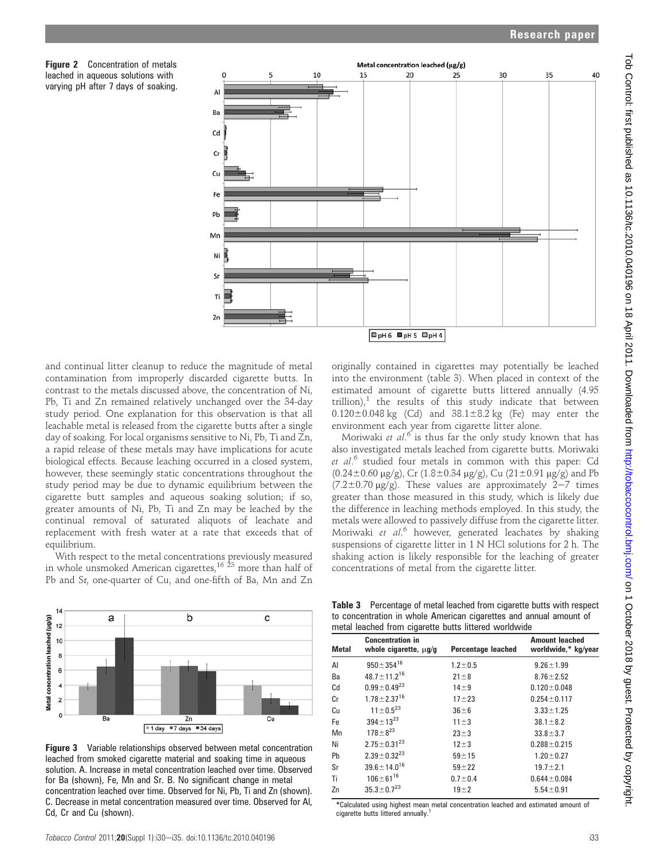Figure 2 Concentration of metals leached in aqueous solutions with varying pH after 7 days of soaking.



and continual litter cleanup to reduce the magnitude of metal contamination from improperly discarded cigarette butts. In contrast to the metals discussed above, the concentration of Ni, Pb, Ti and Zn remained relatively unchanged over the 34-day study period. One explanation for this observation is that all leachable metal is released from the cigarette butts after a single day of soaking. For local organisms sensitive to Ni, Pb, Ti and Zn, a rapid release of these metals may have implications for acute biological effects. Because leaching occurred in a closed system, however, these seemingly static concentrations throughout the study period may be due to dynamic equilibrium between the cigarette butt samples and aqueous soaking solution; if so, greater amounts of Ni, Pb, Ti and Zn may be leached by the continual removal of saturated aliquots of leachate and replacement with fresh water at a rate that exceeds that of equilibrium.

With respect to the metal concentrations previously measured in whole unsmoked American cigarettes, $^{16\,\, 23}$  more than half of Pb and Sr, one-quarter of Cu, and one-fifth of Ba, Mn and Zn



**Figure 3** Variable relationships observed between metal concentration leached from smoked cigarette material and soaking time in aqueous solution. A. Increase in metal concentration leached over time. Observed for Ba (shown), Fe, Mn and Sr. B. No significant change in metal concentration leached over time. Observed for Ni, Pb, Ti and Zn (shown). C. Decrease in metal concentration measured over time. Observed for Al, Cd, Cr and Cu (shown).

originally contained in cigarettes may potentially be leached into the environment (table 3). When placed in context of the estimated amount of cigarette butts littered annually (4.95  $\text{trillion)}$ ,<sup>1</sup> the results of this study indicate that between  $0.120 \pm 0.048$  kg (Cd) and  $38.1 \pm 8.2$  kg (Fe) may enter the environment each year from cigarette litter alone.

Moriwaki et  $al$ <sup>6</sup> is thus far the only study known that has also investigated metals leached from cigarette butts. Moriwaki et al.<sup>6</sup> studied four metals in common with this paper: Cd  $(0.24\pm0.60 \text{ µg/g})$ , Cr  $(1.8\pm0.34 \text{ µg/g})$ , Cu  $(21\pm0.91 \text{ µg/g})$  and Pb  $(7.2\pm0.70 \text{ }\mu\text{g/g})$ . These values are approximately 2-7 times greater than those measured in this study, which is likely due the difference in leaching methods employed. In this study, the metals were allowed to passively diffuse from the cigarette litter. Moriwaki et al.<sup>6</sup> however, generated leachates by shaking suspensions of cigarette litter in 1 N HCl solutions for 2 h. The shaking action is likely responsible for the leaching of greater concentrations of metal from the cigarette litter.

Table 3 Percentage of metal leached from cigarette butts with respect to concentration in whole American cigarettes and annual amount of

| metal leached from cigarette butts littered worldwide |                                                       |                                                                           |                   |  |  |  |  |  |
|-------------------------------------------------------|-------------------------------------------------------|---------------------------------------------------------------------------|-------------------|--|--|--|--|--|
| <b>Metal</b>                                          | <b>Concentration in</b><br>whole cigarette, $\mu$ g/g | <b>Amount leached</b><br><b>Percentage leached</b><br>worldwide,* kg/year |                   |  |  |  |  |  |
| AI                                                    | $950 \pm 354^{16}$                                    | $1.2 \pm 0.5$                                                             | $9.26 \pm 1.99$   |  |  |  |  |  |
| Ba                                                    | $48.7 \pm 11.2^{16}$                                  | $21 \pm 8$                                                                | $8.76 \pm 2.52$   |  |  |  |  |  |
| Cd                                                    | $0.99 \pm 0.49^{23}$                                  | $14 \pm 9$                                                                | $0.120 \pm 0.048$ |  |  |  |  |  |
| Cr                                                    | $1.78 \pm 2.37^{16}$                                  | $17 + 23$                                                                 | $0.254 \pm 0.117$ |  |  |  |  |  |
| Сu                                                    | $11 \pm 0.5^{23}$                                     | $36\pm 6$                                                                 | $3.33 \pm 1.25$   |  |  |  |  |  |
| Fe                                                    | $394 \pm 13^{23}$                                     | $11 \pm 3$                                                                | $38.1 \pm 8.2$    |  |  |  |  |  |
| Mn                                                    | $178 \pm 8^{23}$                                      | $23 + 3$                                                                  | $33.8 \pm 3.7$    |  |  |  |  |  |
| Ni                                                    | $2.75 \pm 0.31^{23}$                                  | $12 + 3$                                                                  | $0.288 \pm 0.215$ |  |  |  |  |  |
| Pb                                                    | $2.39 \pm 0.32^{23}$                                  | $59 + 15$                                                                 | $1.20 \pm 0.27$   |  |  |  |  |  |
| Sr                                                    | $39.6 \pm 14.0^{16}$                                  | $59 + 22$                                                                 | $19.7 \pm 2.1$    |  |  |  |  |  |
| Ti                                                    | $106 \pm 61^{16}$                                     | $0.7 \pm 0.4$                                                             | $0.644 \pm 0.084$ |  |  |  |  |  |
| Zn                                                    | $35.3 \pm 0.7^{23}$                                   | $19\pm2$                                                                  | $5.54 \pm 0.91$   |  |  |  |  |  |

\*Calculated using highest mean metal concentration leached and estimated amount of cigarette butts littered annually.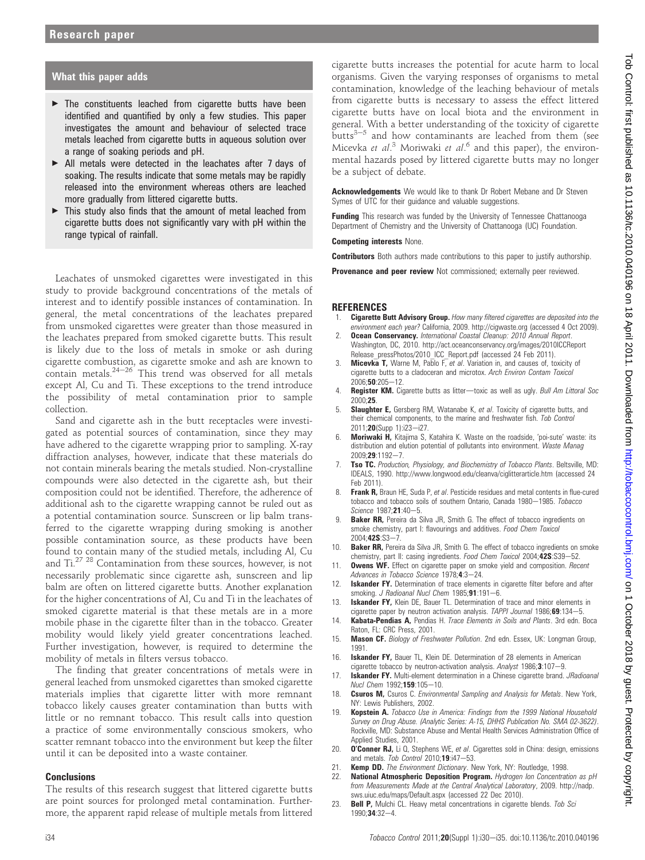# What this paper adds

- $\blacktriangleright$  The constituents leached from cigarette butts have been identified and quantified by only a few studies. This paper investigates the amount and behaviour of selected trace metals leached from cigarette butts in aqueous solution over a range of soaking periods and pH.
- ▶ All metals were detected in the leachates after 7 days of soaking. The results indicate that some metals may be rapidly released into the environment whereas others are leached more gradually from littered cigarette butts.
- $\blacktriangleright$  This study also finds that the amount of metal leached from cigarette butts does not significantly vary with pH within the range typical of rainfall.

Leachates of unsmoked cigarettes were investigated in this study to provide background concentrations of the metals of interest and to identify possible instances of contamination. In general, the metal concentrations of the leachates prepared from unsmoked cigarettes were greater than those measured in the leachates prepared from smoked cigarette butts. This result is likely due to the loss of metals in smoke or ash during cigarette combustion, as cigarette smoke and ash are known to contain metals. $24-26$  This trend was observed for all metals except Al, Cu and Ti. These exceptions to the trend introduce the possibility of metal contamination prior to sample collection.

Sand and cigarette ash in the butt receptacles were investigated as potential sources of contamination, since they may have adhered to the cigarette wrapping prior to sampling. X-ray diffraction analyses, however, indicate that these materials do not contain minerals bearing the metals studied. Non-crystalline compounds were also detected in the cigarette ash, but their composition could not be identified. Therefore, the adherence of additional ash to the cigarette wrapping cannot be ruled out as a potential contamination source. Sunscreen or lip balm transferred to the cigarette wrapping during smoking is another possible contamination source, as these products have been found to contain many of the studied metals, including Al, Cu and Ti.27 <sup>28</sup> Contamination from these sources, however, is not necessarily problematic since cigarette ash, sunscreen and lip balm are often on littered cigarette butts. Another explanation for the higher concentrations of Al, Cu and Ti in the leachates of smoked cigarette material is that these metals are in a more mobile phase in the cigarette filter than in the tobacco. Greater mobility would likely yield greater concentrations leached. Further investigation, however, is required to determine the mobility of metals in filters versus tobacco.

The finding that greater concentrations of metals were in general leached from unsmoked cigarettes than smoked cigarette materials implies that cigarette litter with more remnant tobacco likely causes greater contamination than butts with little or no remnant tobacco. This result calls into question a practice of some environmentally conscious smokers, who scatter remnant tobacco into the environment but keep the filter until it can be deposited into a waste container.

#### **Conclusions**

The results of this research suggest that littered cigarette butts are point sources for prolonged metal contamination. Furthermore, the apparent rapid release of multiple metals from littered

cigarette butts increases the potential for acute harm to local organisms. Given the varying responses of organisms to metal contamination, knowledge of the leaching behaviour of metals from cigarette butts is necessary to assess the effect littered cigarette butts have on local biota and the environment in general. With a better understanding of the toxicity of cigarette butts $3-5$  and how contaminants are leached from them (see Micevka et al.<sup>3</sup> Moriwaki et al.<sup>6</sup> and this paper), the environmental hazards posed by littered cigarette butts may no longer be a subject of debate.

Acknowledgements We would like to thank Dr Robert Mebane and Dr Steven Symes of UTC for their guidance and valuable suggestions.

**Funding** This research was funded by the University of Tennessee Chattanooga Department of Chemistry and the University of Chattanooga (UC) Foundation.

#### Competing interests None.

**Contributors** Both authors made contributions to this paper to justify authorship.

**Provenance and peer review** Not commissioned; externally peer reviewed.

#### **REFERENCES**

- Cigarette Butt Advisory Group. How many filtered cigarettes are deposited into the environment each year? California, 2009. http://cigwaste.org (accessed 4 Oct 2009).
- Ocean Conservancy. International Coastal Cleanup: 2010 Annual Report. Washington, DC, 2010. http://act.oceanconservancy.org/images/2010ICCReport Release\_pressPhotos/2010\_ICC\_Report.pdf (accessed 24 Feb 2011).
- 3. **Micevka T,** Warne M, Pablo F, et al. Variation in, and causes of, toxicity of cigarette butts to a cladoceran and microtox. Arch Environ Contam Toxicol  $2006:50:205 - 12$
- 4. Register KM. Cigarette butts as litter-toxic as well as ugly. Bull Am Littoral Soc 2000;25.
- Slaughter E, Gersberg RM, Watanabe K, et al. Toxicity of cigarette butts, and their chemical components, to the marine and freshwater fish. Tob Control 2011;20(Supp 1):i23-i27.
- 6. Moriwaki H, Kitajima S, Katahira K. Waste on the roadside, 'poi-sute' waste: its distribution and elution potential of pollutants into environment. Waste Manag 2009;29:1192-7.
- Tso TC. Production, Physiology, and Biochemistry of Tobacco Plants. Beltsville, MD: IDEALS, 1990. http://www.longwood.edu/cleanva/ciglitterarticle.htm (accessed 24 Feb 2011).
- 8. Frank R, Braun HE, Suda P, et al. Pesticide residues and metal contents in flue-cured tobacco and tobacco soils of southern Ontario, Canada 1980-1985. Tobacco Science 1987;21:40-5.
- 9. **Baker RR,** Pereira da Silva JR, Smith G. The effect of tobacco ingredients on smoke chemistry, part I: flavourings and additives. Food Chem Toxicol 2004:42S:S3-7.
- 10. **Baker RR,** Pereira da Silva JR, Smith G. The effect of tobacco ingredients on smoke chemistry, part II: casing ingredients. Food Chem Toxicol 2004;42S:S39-52.
- 11. **Owens WF.** Effect on cigarette paper on smoke yield and composition. Recent Advances in Tobacco Science 1978:4:3-24.
- 12. **Iskander FY.** Determination of trace elements in cigarette filter before and after smoking. J Radioanal Nucl Chem 1985;91:191-6.
- 13. **Iskander FY,** Klein DE, Bauer TL. Determination of trace and minor elements in cigarette paper by neutron activation analysis. TAPPI Journal  $1986;69:134-5$ .
- 14. **Kabata-Pendias A,** Pendias H. Trace Elements in Soils and Plants. 3rd edn. Boca Raton, FL: CRC Press, 2001.
- 15. Mason CF. Biology of Freshwater Pollution. 2nd edn. Essex, UK: Longman Group, 1991.
- 16. **Iskander FY,** Bauer TL, Klein DE. Determination of 28 elements in American cigarette tobacco by neutron-activation analysis. Analyst 1986;3:107-9.
- 17. **Iskander FY.** Multi-element determination in a Chinese cigarette brand. JRadioanal Nucl Chem 1992;159:105-10.
- 18. **Csuros M,** Csuros C. Environmental Sampling and Analysis for Metals. New York, NY: Lewis Publishers, 2002.
- 19. Kopstein A. Tobacco Use in America: Findings from the 1999 National Household Survey on Drug Abuse. (Analytic Series: A-15, DHHS Publication No. SMA 02-3622). Rockville, MD: Substance Abuse and Mental Health Services Administration Office of Applied Studies, 2001.
- 20. O'Conner RJ, Li Q, Stephens WE, et al. Cigarettes sold in China: design, emissions and metals. Tob Control 2010;19:i47-53.
- 21. Kemp DD. The Environment Dictionary. New York, NY: Routledge, 1998.
- National Atmospheric Deposition Program. Hydrogen Ion Concentration as pH from Measurements Made at the Central Analytical Laboratory, 2009. http://nadp. sws.uiuc.edu/maps/Default.aspx (accessed 22 Dec 2010).
- 23. Bell P, Mulchi CL. Heavy metal concentrations in cigarette blends. Tob Sci  $1990:34:32-4.$